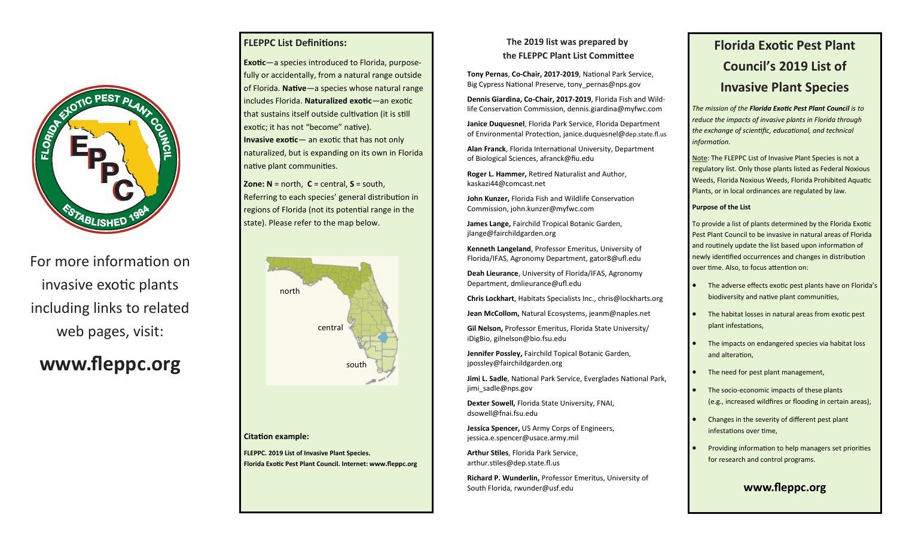

For more information on invasive exotic plants including links to related web pages, visit:

# **www.fleppc.org**

### **FLEPPC List Definitions:**

**Exotic**—a species introduced to Florida, purposefully or accidentally, from a natural range outside of Florida. **Native**—a species whose natural range includes Florida. **Naturalized exotic**—an exotic that sustains itself outside cultivation (it is still exotic; it has not "become" native). **Invasive exotic**— an exotic that has not only naturalized, but is expanding on its own in Florida native plant communities.

**Zone: N** = north, **C** = central, **S** = south, Referring to each species' general distribution in regions of Florida (not its potential range in the state). Please refer to the map below.



### **Citation example:**

**FLEPPC. 2019 List of Invasive Plant Species. Florida Exotic Pest Plant Council. Internet: www.fleppc.org**

### **The 2019 list was prepared by**

**the FLEPPC Plant List Committee**

**Tony Pernas**, **Co-Chair, 2017-2019**, National Park Service, Big Cypress National Preserve, tony pernas@nps.gov

**Dennis Giardina, Co-Chair, 2017-2019**, Florida Fish and Wildlife Conservation Commission, dennis.giardina@myfwc.com

**Janice Duquesnel**, Florida Park Service, Florida Department of Environmental Protection, janice.duquesnel@dep.state.fl.us

**Alan Franck**, Florida International University, Department of Biological Sciences, afranck@fiu.edu

**Roger L. Hammer,** Retired Naturalist and Author, kaskazi44@comcast.net

**John Kunzer,** Florida Fish and Wildlife Conservation Commission, john.kunzer@myfwc.com

**James Lange,** Fairchild Tropical Botanic Garden, jlange@fairchildgarden.org

**Kenneth Langeland**, Professor Emeritus, University of Florida/IFAS, Agronomy Department, gator8@ufl.edu

**Deah Lieurance**, University of Florida/IFAS, Agronomy Department, dmlieurance@ufl.edu

**Chris Lockhart**, Habitats Specialists Inc., chris@lockharts.org

**Jean McCollom,** Natural Ecosystems, jeanm@naples.net

**Gil Nelson,** Professor Emeritus, Florida State University/ iDigBio, gilnelson@bio.fsu.edu

**Jennifer Possley,** Fairchild Topical Botanic Garden, jpossley@fairchildgarden.org

**Jimi L. Sadle**, National Park Service, Everglades National Park, jimi\_sadle@nps.gov

**Dexter Sowell,** Florida State University, FNAI, dsowell@fnai.fsu.edu

**Jessica Spencer,** US Army Corps of Engineers, jessica.e.spencer@usace.army.mil

**Arthur Stiles**, Florida Park Service, arthur.stiles@dep.state.fl.us

**Richard P. Wunderlin,** Professor Emeritus, University of South Florida, rwunder@usf.edu

## **Florida Exotic Pest Plant Council's 2019 List of Invasive Plant Species**

*The mission of the Florida Exotic Pest Plant Council is to reduce the impacts of invasive plants in Florida through the exchange of scientific, educational, and technical information.*

Note: The FLEPPC List of Invasive Plant Species is not a regulatory list. Only those plants listed as Federal Noxious Weeds, Florida Noxious Weeds, Florida Prohibited Aquatic Plants, or in local ordinances are regulated by law.

#### **Purpose of the List**

To provide a list of plants determined by the Florida Exotic Pest Plant Council to be invasive in natural areas of Florida and routinely update the list based upon information of newly identified occurrences and changes in distribution over time. Also, to focus attention on:

- The adverse effects exotic pest plants have on Florida's biodiversity and native plant communities,
- The habitat losses in natural areas from exotic pest plant infestations,
- The impacts on endangered species via habitat loss and alteration,
- The need for pest plant management,
- The socio-economic impacts of these plants (e.g., increased wildfires or flooding in certain areas),
- Changes in the severity of different pest plant infestations over time,
- Providing information to help managers set priorities for research and control programs.